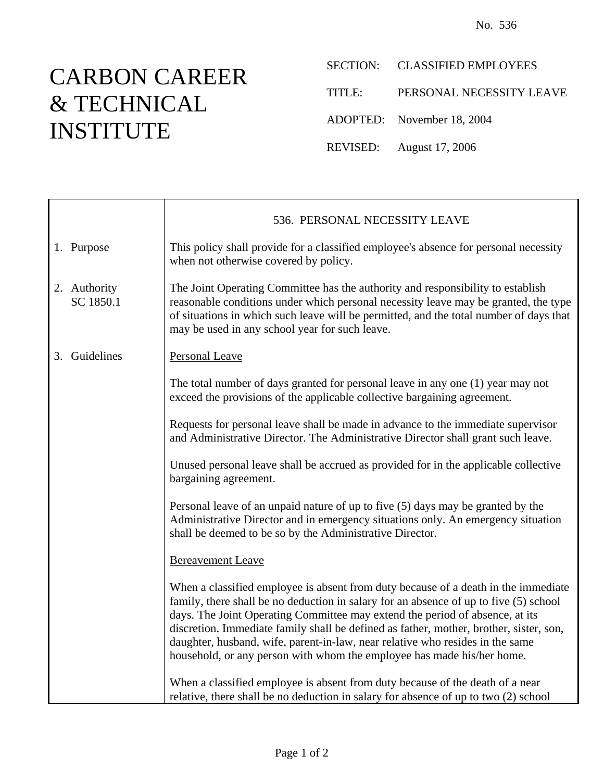## CARBON CAREER & TECHNICAL INSTITUTE

Ť

 $\mathsf{r}$ 

SECTION: CLASSIFIED EMPLOYEES

TITLE: PERSONAL NECESSITY LEAVE

ADOPTED: November 18, 2004

REVISED: August 17, 2006

|                           | 536. PERSONAL NECESSITY LEAVE                                                                                                                                                                                                                                                                                                                                                                                                                                                                                    |
|---------------------------|------------------------------------------------------------------------------------------------------------------------------------------------------------------------------------------------------------------------------------------------------------------------------------------------------------------------------------------------------------------------------------------------------------------------------------------------------------------------------------------------------------------|
| 1. Purpose                | This policy shall provide for a classified employee's absence for personal necessity<br>when not otherwise covered by policy.                                                                                                                                                                                                                                                                                                                                                                                    |
| 2. Authority<br>SC 1850.1 | The Joint Operating Committee has the authority and responsibility to establish<br>reasonable conditions under which personal necessity leave may be granted, the type<br>of situations in which such leave will be permitted, and the total number of days that<br>may be used in any school year for such leave.                                                                                                                                                                                               |
| 3. Guidelines             | <b>Personal Leave</b>                                                                                                                                                                                                                                                                                                                                                                                                                                                                                            |
|                           | The total number of days granted for personal leave in any one (1) year may not<br>exceed the provisions of the applicable collective bargaining agreement.                                                                                                                                                                                                                                                                                                                                                      |
|                           | Requests for personal leave shall be made in advance to the immediate supervisor<br>and Administrative Director. The Administrative Director shall grant such leave.                                                                                                                                                                                                                                                                                                                                             |
|                           | Unused personal leave shall be accrued as provided for in the applicable collective<br>bargaining agreement.                                                                                                                                                                                                                                                                                                                                                                                                     |
|                           | Personal leave of an unpaid nature of up to five (5) days may be granted by the<br>Administrative Director and in emergency situations only. An emergency situation<br>shall be deemed to be so by the Administrative Director.                                                                                                                                                                                                                                                                                  |
|                           | <b>Bereavement Leave</b>                                                                                                                                                                                                                                                                                                                                                                                                                                                                                         |
|                           | When a classified employee is absent from duty because of a death in the immediate<br>family, there shall be no deduction in salary for an absence of up to five (5) school<br>days. The Joint Operating Committee may extend the period of absence, at its<br>discretion. Immediate family shall be defined as father, mother, brother, sister, son,<br>daughter, husband, wife, parent-in-law, near relative who resides in the same<br>household, or any person with whom the employee has made his/her home. |
|                           | When a classified employee is absent from duty because of the death of a near<br>relative, there shall be no deduction in salary for absence of up to two (2) school                                                                                                                                                                                                                                                                                                                                             |